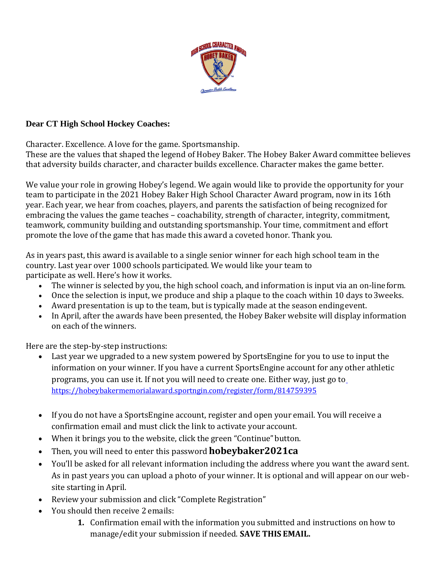

## **Dear CT High School Hockey Coaches:**

Character. Excellence. A love for the game. Sportsmanship.

These are the values that shaped the legend of Hobey Baker. The Hobey Baker Award committee believes that adversity builds character, and character builds excellence. Character makes the game better.

We value your role in growing Hobey's legend. We again would like to provide the opportunity for your team to participate in the 2021 Hobey Baker High School Character Award program, now in its 16th year. Each year, we hear from coaches, players, and parents the satisfaction of being recognized for embracing the values the game teaches – coachability, strength of character, integrity, commitment, teamwork, community building and outstanding sportsmanship. Your time, commitment and effort promote the love of the game that has made this award a coveted honor. Thank you.

As in years past, this award is available to a single senior winner for each high school team in the country. Last year over 1000 schools participated. We would like your team to participate as well. Here's how it works.

- The winner is selected by you, the high school coach, and information is input via an on-lineform.
- Once the selection is input, we produce and ship a plaque to the coach within 10 days to 3weeks.
- Award presentation is up to the team, but is typically made at the season endingevent.
- In April, after the awards have been presented, the Hobey Baker website will display information on each of the winners.

Here are the step-by-step instructions:

- Last year we upgraded to a new system powered by SportsEngine for you to use to input the information on your winner. If you have a current SportsEngine account for any other athletic programs, you can use it. If not you will need to create one. Either way, just go t[o](https://hobeybakermemorialaward.sportngin.com/register/form/814759395) <https://hobeybakermemorialaward.sportngin.com/register/form/814759395>
- If you do not have a SportsEngine account, register and open your email. You will receive a confirmation email and must click the link to activate your account.
- When it brings you to the website, click the green "Continue" button.
- Then, you will need to enter this password**hobeybaker2021ca**
- You'll be asked for all relevant information including the address where you want the award sent. As in past years you can upload a photo of your winner. It is optional and will appear on our website starting in April.
- Review your submission and click "Complete Registration"
- You should then receive 2 emails:
	- **1.** Confirmation email with the information you submitted and instructions on how to manage/edit your submission if needed. **SAVE THIS EMAIL.**